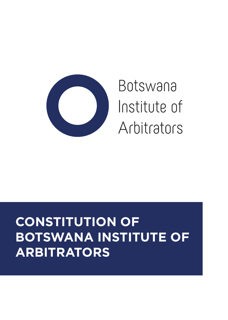

# Botswana Institute of Arbitrators

## **CONSTITUTION OF BOTSWANA INSTITUTE OF ARBITRATORS**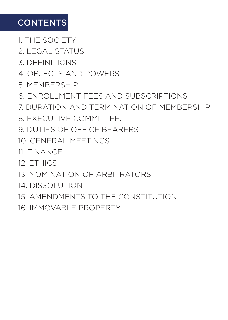### **CONTENTS**

1. THE SOCIETY

2. LEGAL STATUS

3. DEFINITIONS

4. OBJECTS AND POWERS

5. MEMBERSHIP

6. ENROLLMENT FEES AND SUBSCRIPTIONS

7. DURATION AND TERMINATION OF MEMBERSHIP

8. EXECUTIVE COMMITTEE.

9. DUTIES OF OFFICE BEARERS

10. GENERAL MEETINGS

11. FINANCE

12. ETHICS

13. NOMINATION OF ARBITRATORS

14. DISSOLUTION

15. AMENDMENTS TO THE CONSTITUTION

16. IMMOVABLE PROPERTY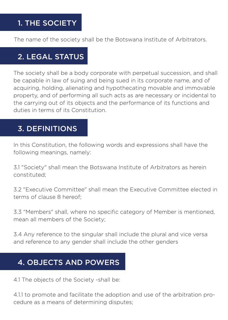#### 1. THE SOCIETY

The name of the society shall be the Botswana Institute of Arbitrators.

#### 2. LEGAL STATUS

The society shall be a body corporate with perpetual succession, and shall be capable in law of suing and being sued in its corporate name, and of acquiring, holding, alienating and hypothecating movable and immovable property, and of performing all such acts as are necessary or incidental to the carrying out of its objects and the performance of its functions and duties in terms of its Constitution.

#### 3. DEFINITIONS

In this Constitution, the following words and expressions shall have the following meanings, namely:

3.1 "Society" shall mean the Botswana Institute of Arbitrators as herein constituted;

3.2 "Executive Committee" shall mean the Executive Committee elected in terms of clause 8 hereof;

3.3 "Members" shall, where no specific category of Member is mentioned, mean all members of the Society;

3.4 Any reference to the singular shall include the plural and vice versa and reference to any gender shall include the other genders

#### 4. OBJECTS AND POWERS

4.1 The objects of the Society -shall be:

4.1.1 to promote and facilitate the adoption and use of the arbitration procedure as a means of determining disputes;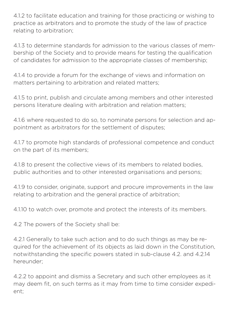4.1.2 to facilitate education and training for those practicing or wishing to practice as arbitrators and to promote the study of the law of practice relating to arbitration;

4.1.3 to determine standards for admission to the various classes of membership of the Society and to provide means for testing the qualification of candidates for admission to the appropriate classes of membership;

4.1.4 to provide a forum for the exchange of views and information on matters pertaining to arbitration and related matters;

4.1.5 to print, publish and circulate among members and other interested persons literature dealing with arbitration and relation matters;

4.1.6 where requested to do so, to nominate persons for selection and appointment as arbitrators for the settlement of disputes;

4.1.7 to promote high standards of professional competence and conduct on the part of its members;

4.1.8 to present the collective views of its members to related bodies, public authorities and to other interested organisations and persons;

4.1.9 to consider, originate, support and procure improvements in the law relating to arbitration and the general practice of arbitration;

4.1.10 to watch over, promote and protect the interests of its members.

4.2 The powers of the Society shall be:

4.2.1 Generally to take such action and to do such things as may be required for the achievement of its objects as laid down in the Constitution, notwithstanding the specific powers stated in sub-clause 4.2. and 4.2.14 hereunder;

4.2.2 to appoint and dismiss a Secretary and such other employees as it may deem fit, on such terms as it may from time to time consider expedient;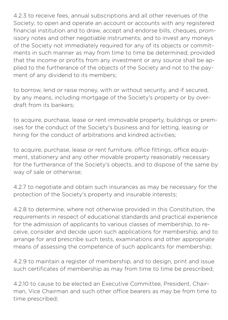4.2.3 to receive fees, annual subscriptions and all other revenues of the Society; to open and operate an account or accounts with any registered financial institution and to draw, accept and endorse bills, cheques, promissory notes and other negotiable instruments; and to invest any moneys of the Society not immediately required for any of its objects or commitments in such manner as may from time to time be determined, provided that the income or profits from any investment or any source shall be applied to the furtherance of the objects of the Society and not to the payment of any dividend to its members;

to borrow, lend or raise money, with or without security, and if secured, by any means, including mortgage of the Society's property or by overdraft from its bankers;

to acquire, purchase, lease or rent immovable property, buildings or premises for the conduct of the Society's business and for letting, leasing or hiring for the conduct of arbitrations and kindred activities;

to acquire, purchase, lease or rent furniture, office fittings, office equipment, stationery and any other movable property reasonably necessary for the furtherance of the Society's objects, and to dispose of the same by way of sale or otherwise;

4.2.7 to negotiate and obtain such insurances as may be necessary for the protection of the Society's property and insurable interests;

4.2.8 to determine, where not otherwise provided in this Constitution, the requirements in respect of educational standards and practical experience for the admission of applicants to various classes of membership, to receive, consider and decide upon such applications for membership, and to arrange for and prescribe such tests, examinations and other appropriate means of assessing the competence of such applicants for membership;

4.2.9 to maintain a register of membership, and to design, print and issue such certificates of membership as may from time to time be prescribed;

4.2.10 to cause to be elected an Executive Committee, President, Chairman, Vice Chairman and such other office bearers as may be from time to time prescribed;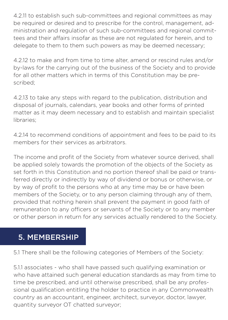4.2.11 to establish such sub-committees and regional committees as may be required or desired and to prescribe for the control, management, administration and regulation of such sub-committees and regional committees and their affairs insofar as these are not regulated for herein, and to delegate to them to them such powers as may be deemed necessary;

4.2.12 to make and from time to time alter, amend or rescind rules and/or by-laws for the carrying out of the business of the Society and to provide for all other matters which in terms of this Constitution may be prescribed;

4.2.13 to take any steps with regard to the publication, distribution and disposal of journals, calendars, year books and other forms of printed matter as it may deem necessary and to establish and maintain specialist libraries;

4.2.14 to recommend conditions of appointment and fees to be paid to its members for their services as arbitrators.

The income and profit of the Society from whatever source derived, shall be applied solely towards the promotion of the objects of the Society as set forth in this Constitution and no portion thereof shall be paid or transferred directly or indirectly by way of dividend or bonus or otherwise, or by way of profit to the persons who at any time may be or have been members of the Society, or to any person claiming through any of them, provided that nothing herein shall prevent the payment in good faith of remuneration to any officers or servants of the Society or to any member or other person in return for any services actually rendered to the Society.

#### 5. MEMBERSHIP

5.1 There shall be the following categories of Members of the Society:

5.1.1 associates - who shall have passed such qualifying examination or who have attained such general education standards as may from time to time be prescribed, and until otherwise prescribed, shall be any professional qualification entitling the holder to practice in any Commonwealth country as an accountant, engineer, architect, surveyor, doctor, lawyer, quantity surveyor OT chatted surveyor;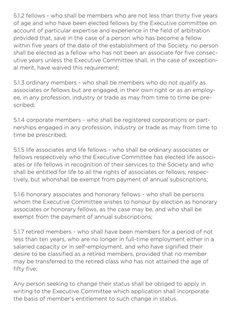5.1.2 fellows - who shall be members who are not less than thirty five years of age and who have been elected fellows by the Executive committee on account of particular expertise and experience in the field of arbitration provided that, save in the case of a person who has become a fellow within five years of the date of the establishment of the Society, no person shall be elected as a fellow who has not been an associate for five consecutive years unless the Executive Committee shall, in the case of exceptional merit, have waived this requirement;

5.1.3 ordinary members - who shall be members who do not qualify as associates or fellows but are engaged, in their own right or as an employee, in any profession, industry or trade as may from time to time be prescribed;

5.1.4 corporate members - who shall be registered corporations or partnerships engaged in any profession, industry or trade as may from time to time be prescribed;

5.1.5 life associates and life fellows - who shall be ordinary associates or fellows respectively who the Executive Committee has elected life associates or life fellows in recognition of their services to the Society and who shall be entitled for life to all the rights of associates or fellows, respectively, but whonshall be exempt from payment of annual subscriptions;

5.1.6 honorary associates and honorary fellows - who shall be persons whom the Executive Committee wishes to honour by election as honorary associates or honorary fellows, as the case may be, and who shall be exempt from the payment of annual subscriptions;

5.1.7 retired members - who shall have been members for a period of not less than ten years, who are no longer in full-time employment either in a salaried capacity or in self-employment, and who have signified their desire to be classified as a retired members, provided that no member may be transferred to the retired class who has not attained the age of fifty five;

Any person seeking to change their status shall be obliged to apply in writing to the Executive Committee which application shall incorporate the basis of member's entitlement to such change in status.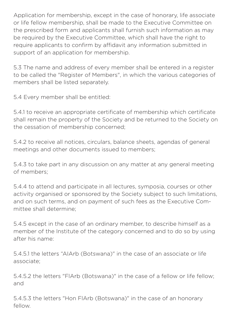Application for membership, except in the case of honorary, life associate or life fellow membership, shall be made to the Executive Committee on the prescribed form and applicants shall furnish such information as may be required by the Executive Committee, which shall have the right to require applicants to confirm by affidavit any information submitted in support of an application for membership.

5.3 The name and address of every member shall be entered in a register to be called the "Register of Members", in which the various categories of members shall be listed separately.

5.4 Every member shall be entitled:

5.4.1 to receive an appropriate certificate of membership which certificate shall remain the property of the Society and be returned to the Society on the cessation of membership concerned;

5.4.2 to receive all notices, circulars, balance sheets, agendas of general meetings and other documents issued to members;

5.4.3 to take part in any discussion on any matter at any general meeting of members;

5.4.4 to attend and participate in all lectures, symposia, courses or other activity organised or sponsored by the Society subject to such limitations, and on such terms, and on payment of such fees as the Executive Committee shall determine;

5.4.5 except in the case of an ordinary member, to describe himself as a member of the Institute of the category concerned and to do so by using after his name:

5.4.5.1 the letters "AIArb (Botswana)" in the case of an associate or life associate;

5.4.5.2 the letters "FlArb (Botswana)" in the case of a fellow or life fellow; and

5.4.5.3 the letters "Hon FlArb (Botswana)" in the case of an honorary fellow.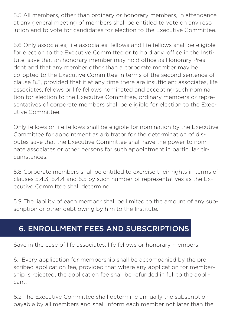5.5 All members, other than ordinary or honorary members, in attendance at any general meeting of members shall be entitled to vote on any resolution and to vote for candidates for election to the Executive Committee.

5.6 Only associates, life associates, fellows and life fellows shall be eligible for election to the Executive Committee or to hold any office in the Institute, save that an honorary member may hold office as Honorary President and that any member other than a corporate member may be co-opted to the Executive Committee in terms of the second sentence of clause 8.5, provided that if at any time there are insufficient associates, life associates, fellows or life fellows nominated and accepting such nomination for election to the Executive Committee, ordinary members or representatives of corporate members shall be eligible for election to the Executive Committee.

Only fellows or life fellows shall be eligible for nomination by the Executive Committee for appointment as arbitrator for the determination of disputes save that the Executive Committee shall have the power to nominate associates or other persons for such appointment in particular circumstances.

5.8 Corporate members shall be entitled to exercise their rights in terms of clauses 5.4.3; 5.4.4 and 5.5 by such number of representatives as the Executive Committee shall determine.

5.9 The liability of each member shall be limited to the amount of any subscription or other debt owing by him to the Institute.

#### 6. ENROLLMENT FEES AND SUBSCRIPTIONS

Save in the case of life associates, life fellows or honorary members:

6.1 Every application for membership shall be accompanied by the prescribed application fee, provided that where any application for membership is rejected, the application fee shall be refunded in full to the applicant.

6.2 The Executive Committee shall determine annually the subscription payable by all members and shall inform each member not later than the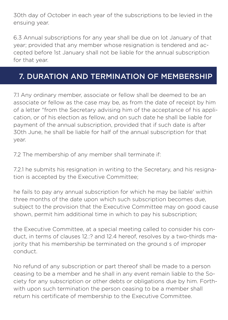30th day of October in each year of the subscriptions to be levied in the ensuing year.

6.3 Annual subscriptions for any year shall be due on lot January of that year; provided that any member whose resignation is tendered and accepted before 1st January shall not be liable for the annual subscription for that year.

#### 7. DURATION AND TERMINATION OF MEMBERSHIP

7.1 Any ordinary member, associate or fellow shall be deemed to be an associate or fellow as the case may be, as from the date of receipt by him of a letter "from the Secretary advising him of the acceptance of his application, or of his election as fellow, and on such date he shall be liable for payment of the annual subscription, provided that if such date is after 30th June, he shall be liable for half of the annual subscription for that year.

7.2 The membership of any member shall terminate if:

7.2.1 he submits his resignation in writing to the Secretary, and his resignation is accepted by the Executive Committee;

he fails to pay any annual subscription for which he may be liable' within three months of the date upon which such subscription becomes due, subject to the provision that the Executive Committee may on good cause shown, permit him additional time in which to pay his subscription;

the Executive Committee, at a special meeting called to consider his conduct, in terms of clauses 12.:? and 12.4 hereof, resolves by a two-thirds majority that his membership be terminated on the ground s of improper conduct.

No refund of any subscription or part thereof shall be made to a person ceasing to be a member and he shall in any event remain liable to the Society for any subscription or other debts or obligations due by him. Forthwith upon such termination the person ceasing to be a member shall return his certificate of membership to the Executive Committee.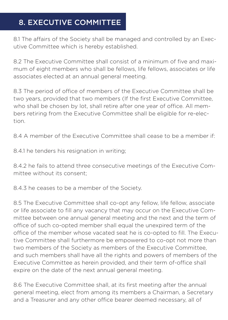#### 8. EXECUTIVE COMMITTEE

8.1 The affairs of the Society shall be managed and controlled by an Executive Committee which is hereby established.

8.2 The Executive Committee shall consist of a minimum of five and maximum of eight members who shall be fellows, life fellows, associates or life associates elected at an annual general meeting.

8.3 The period of office of members of the Executive Committee shall be two years, provided that two members (If the first Executive Committee, who shall be chosen by lot, shall retire after one year of office. All members retiring from the Executive Committee shall be eligible for re-election.

8.4 A member of the Executive Committee shall cease to be a member if:

8.4.1 he tenders his resignation in writing;

8.4.2 he fails to attend three consecutive meetings of the Executive Committee without its consent;

8.4.3 he ceases to be a member of the Society.

8.5 The Executive Committee shall co-opt any fellow, life fellow, associate or life associate to fill any vacancy that may occur on the Executive Committee between one annual general meeting and the next and the term of office of such co-opted member shall equal the unexpired term of the office of the member whose vacated seat he is co-opted to fill. The Executive Committee shall furthermore be empowered to co-opt not more than two members of the Society as members of the Executive Committee, and such members shall have all the rights and powers of members of the Executive Committee as herein provided, and their term of-office shall expire on the date of the next annual general meeting.

8.6 The Executive Committee shall, at its first meeting after the annual general meeting, elect from among its members a Chairman, a Secretary and a Treasurer and any other office bearer deemed necessary, all of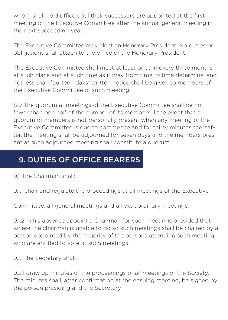whom shall hold office until their successors are appointed at the first meeting of the Executive Committee after the annual general meeting in the next succeeding year.

The Executive Committee may elect an Honorary President. No duties or obligations shall attach to the office of the Honorary President.

The Executive Committee shall meet at least once in every three months at such place and at such time as it may from time to time determine, and not less than fourteen days' written notice shall be given to members of the Executive Committee of such meeting.

8.9 The quorum at meetings of the Executive Committee shall be not fewer than one half of the number of its members. 1 the event that a quorum of members is not personally present when any meeting of the Executive Committee is due to commence and for thirty minutes thereafter, the meeting shall be adjourned for seven days and the members present at such adjourned meeting shall constitute a quorum.

#### 9. DUTIES OF OFFICE BEARERS

9,1 The Chairman shall:

9.1.1 chair and regulate the proceedings at all meetings of the Executive

Committee, all general meetings and all extraordinary meetings;

9.1.2 in his absence appoint a Chairman for such meetings provided that where the chairman is unable to do so such meetings shall be chaired by a person appointed by the majority of the persons attending such meeting who are entitled to vote at such meetings.

9.2 The Secretary shall:

9.2.1 draw up minutes of the proceedings of all meetings of the Society. The minutes shall, after confirmation at the ensuing meeting, be signed by the person presiding and the Secretary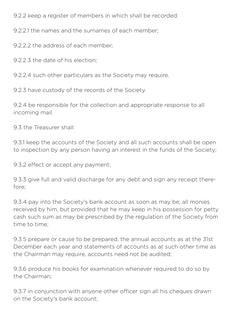9.2.2 keep a register of members in which shall be recorded:

9.2.2.1 the names and the surnames of each member;

9.2.2.2 the address of each member;

9.2.2.3 the date of his election;

9.2.2.4 such other particulars as the Society may require.

9.2.3 have custody of the records of the Society.

9.2.4 be responsible for the collection and appropriate response to all incoming mail.

9.3 the Treasurer shall:

9.3.1 keep the accounts of the Society and all such accounts shall be open to inspection by any person having an interest in the funds of the Society;

9.3.2 effect or accept any payment;

9.3.3 give full and valid discharge for any debt and sign any receipt therefore;

9.3.4 pay into the Society's bank account as soon as may be, all monies received by him, but provided that he may keep in his possession for petty cash such sum as may be prescribed by the regulation of the Society from time to time;

9.3.5 prepare or cause to be prepared, the annual accounts as at the 31st December each year and statements of accounts as at such other time as the Chairman may require, accounts need not be audited;

9.3.6 produce his books for examination whenever required to do so by the Chairman;

9.3.7 in conjunction with anyone other officer sign all his cheques drawn on the Society's bank account;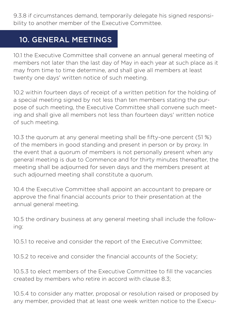9.3.8 if circumstances demand, temporarily delegate his signed responsibility to another member of the Executive Committee.

#### 10. GENERAL MEETINGS

10.1 the Executive Committee shall convene an annual general meeting of members not later than the last day of May in each year at such place as it may from time to time determine, and shall give all members at least twenty one days' written notice of such meeting.

10.2 within fourteen days of receipt of a written petition for the holding of a special meeting signed by not less than ten members stating the purpose of such meeting, the Executive Committee shall convene such meeting and shall give all members not less than fourteen days' written notice of such meeting.

10.3 the quorum at any general meeting shall be fifty-one percent (51 %) of the members in good standing and present in person or by proxy. In the event that a quorum of members is not personally present when any general meeting is due to Commence and for thirty minutes thereafter, the meeting shall be adjourned for seven days and the members present at such adjourned meeting shall constitute a quorum.

10.4 the Executive Committee shall appoint an accountant to prepare or approve the final financial accounts prior to their presentation at the annual general meeting.

10.5 the ordinary business at any general meeting shall include the following:

10.5.1 to receive and consider the report of the Executive Committee;

10.5.2 to receive and consider the financial accounts of the Society;

10.5.3 to elect members of the Executive Committee to fill the vacancies created by members who retire in accord with clause 8.3;

10.5.4 to consider any matter, proposal or resolution raised or proposed by any member, provided that at least one week written notice to the Execu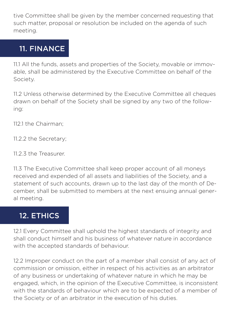tive Committee shall be given by the member concerned requesting that such matter, proposal or resolution be included on the agenda of such meeting.

#### 11. FINANCE

11.1 All the funds, assets and properties of the Society, movable or immovable, shall be administered by the Executive Committee on behalf of the Society.

11.2 Unless otherwise determined by the Executive Committee all cheques drawn on behalf of the Society shall be signed by any two of the following:

112.1 the Chairman;

11.2.2 the Secretary;

11.2.3 the Treasurer.

11.3 The Executive Committee shall keep proper account of all moneys received and expended of all assets and liabilities of the Society, and a statement of such accounts, drawn up to the last day of the month of December, shall be submitted to members at the next ensuing annual general meeting.

#### 12. ETHICS

12.1 Every Committee shall uphold the highest standards of integrity and shall conduct himself and his business of whatever nature in accordance with the accepted standards of behaviour.

12.2 Improper conduct on the part of a member shall consist of any act of commission or omission, either in respect of his activities as an arbitrator of any business or undertaking of whatever nature in which he may be engaged, which, in the opinion of the Executive Committee, is inconsistent with the standards of behaviour which are to be expected of a member of the Society or of an arbitrator in the execution of his duties.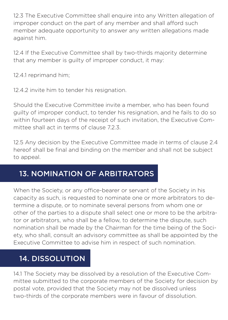12.3 The Executive Committee shall enquire into any Written allegation of improper conduct on the part of any member and shall afford such member adequate opportunity to answer any written allegations made against him.

12.4 If the Executive Committee shall by two-thirds majority determine that any member is guilty of improper conduct, it may:

12.4.1 reprimand him;

12.4.2 invite him to tender his resignation.

Should the Executive Committee invite a member, who has been found guilty of improper conduct, to tender his resignation, and he fails to do so within fourteen days of the receipt of such invitation, the Executive Committee shall act in terms of clause 7.2.3.

12.5 Any decision by the Executive Committee made in terms of clause 2.4 hereof shall be final and binding on the member and shall not be subject to appeal.

#### 13. NOMINATION OF ARBITRATORS

When the Society, or any office-bearer or servant of the Society in his capacity as such, is requested to nominate one or more arbitrators to determine a dispute, or to nominate several persons from whom one or other of the parties to a dispute shall select one or more to be the arbitrator or arbitrators, who shall be a fellow, to determine the dispute, such nomination shall be made by the Chairman for the time being of the Society, who shall, consult an advisory committee as shall be appointed by the Executive Committee to advise him in respect of such nomination.

#### 14. DISSOLUTION

14.1 The Society may be dissolved by a resolution of the Executive Committee submitted to the corporate members of the Society for decision by postal vote, provided that the Society may not be dissolved unless two-thirds of the corporate members were in favour of dissolution.